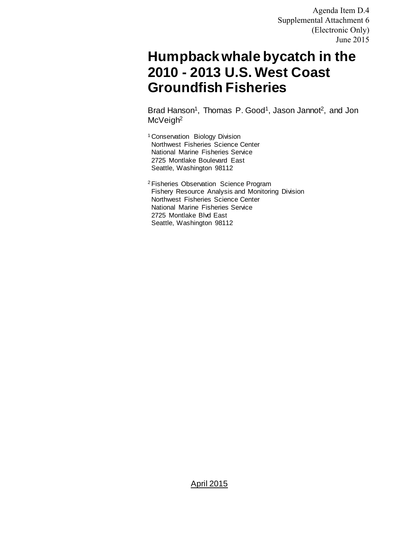Agenda Item D.4 Supplemental Attachment 6 (Electronic Only) June 2015

# **Humpback whale bycatch in the 2010 - 2013 U.S. West Coast Groundfish Fisheries**

Brad Hanson<sup>1</sup>, Thomas P. Good<sup>1</sup>, Jason Jannot<sup>2</sup>, and Jon McVeigh<sup>2</sup>

1 Conservation Biology Division Northwest Fisheries Science Center National Marine Fisheries Service 2725 Montlake Boulevard East Seattle, Washington 98112

2 Fisheries Observation Science Program Fishery Resource Analysis and Monitoring Division Northwest Fisheries Science Center National Marine Fisheries Service 2725 Montlake Blvd East Seattle, Washington 98112

#### April 2015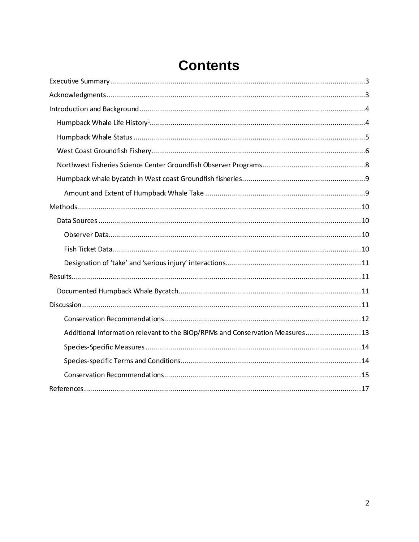| Additional information relevant to the BiOp/RPMs and Conservation Measures 13 |
|-------------------------------------------------------------------------------|
|                                                                               |
|                                                                               |
|                                                                               |
|                                                                               |

# **Contents**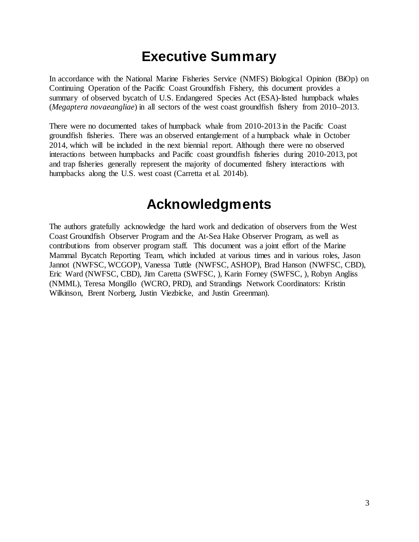# **Executive Summary**

<span id="page-2-0"></span>In accordance with the National Marine Fisheries Service (NMFS) Biological Opinion (BiOp) on Continuing Operation of the Pacific Coast Groundfish Fishery, this document provides a summary of observed bycatch of U.S. Endangered Species Act (ESA)-listed humpback whales (*Megaptera novaeangliae*) in all sectors of the west coast groundfish fishery from 2010–2013.

There were no documented takes of humpback whale from 2010-2013 in the Pacific Coast groundfish fisheries. There was an observed entanglement of a humpback whale in October 2014, which will be included in the next biennial report. Although there were no observed interactions between humpbacks and Pacific coast groundfish fisheries during 2010-2013, pot and trap fisheries generally represent the majority of documented fishery interactions with humpbacks along the U.S. west coast (Carretta et al. 2014b).

## **Acknowledgments**

<span id="page-2-1"></span>The authors gratefully acknowledge the hard work and dedication of observers from the West Coast Groundfish Observer Program and the At-Sea Hake Observer Program, as well as contributions from observer program staff. This document was a joint effort of the Marine Mammal Bycatch Reporting Team, which included at various times and in various roles, Jason Jannot (NWFSC, WCGOP), Vanessa Tuttle (NWFSC, ASHOP), Brad Hanson (NWFSC, CBD), Eric Ward (NWFSC, CBD), Jim Caretta (SWFSC, ), Karin Forney (SWFSC, ), Robyn Angliss (NMML), Teresa Mongillo (WCRO, PRD), and Strandings Network Coordinators: Kristin Wilkinson, Brent Norberg, Justin Viezbicke, and Justin Greenman).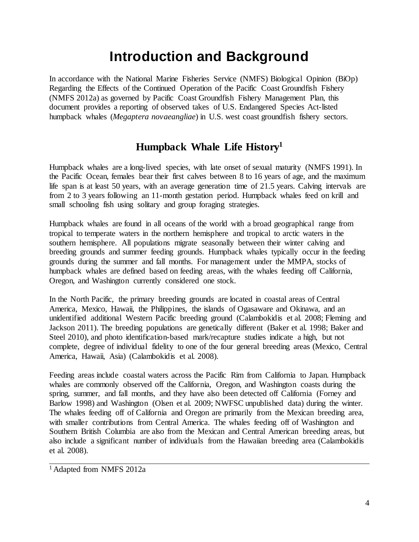# **Introduction and Background**

<span id="page-3-0"></span>In accordance with the National Marine Fisheries Service (NMFS) Biological Opinion (BiOp) Regarding the Effects of the Continued Operation of the Pacific Coast Groundfish Fishery (NMFS 2012a) as governed by Pacific Coast Groundfish Fishery Management Plan, this document provides a reporting of observed takes of U.S. Endangered Species Act-listed humpback whales (*Megaptera novaeangliae*) in U.S. west coast groundfish fishery sectors.

### **Humpback Whale Life History1**

<span id="page-3-1"></span>Humpback whales are a long-lived species, with late onset of sexual maturity (NMFS 1991). In the Pacific Ocean, females bear their first calves between 8 to 16 years of age, and the maximum life span is at least 50 years, with an average generation time of 21.5 years. Calving intervals are from 2 to 3 years following an 11-month gestation period. Humpback whales feed on krill and small schooling fish using solitary and group foraging strategies.

Humpback whales are found in all oceans of the world with a broad geographical range from tropical to temperate waters in the northern hemisphere and tropical to arctic waters in the southern hemisphere. All populations migrate seasonally between their winter calving and breeding grounds and summer feeding grounds. Humpback whales typically occur in the feeding grounds during the summer and fall months. For management under the MMPA, stocks of humpback whales are defined based on feeding areas, with the whales feeding off California, Oregon, and Washington currently considered one stock.

In the North Pacific, the primary breeding grounds are located in coastal areas of Central America, Mexico, Hawaii, the Philippines, the islands of Ogasaware and Okinawa, and an unidentified additional Western Pacific breeding ground (Calambokidis et al. 2008; Fleming and Jackson 2011). The breeding populations are genetically different (Baker et al. 1998; Baker and Steel 2010), and photo identification-based mark/recapture studies indicate a high, but not complete, degree of individual fidelity to one of the four general breeding areas (Mexico, Central America, Hawaii, Asia) (Calambokidis et al. 2008).

Feeding areas include coastal waters across the Pacific Rim from California to Japan. Humpback whales are commonly observed off the California, Oregon, and Washington coasts during the spring, summer, and fall months, and they have also been detected off California (Forney and Barlow 1998) and Washington (Olsen et al. 2009; NWFSC unpublished data) during the winter. The whales feeding off of California and Oregon are primarily from the Mexican breeding area, with smaller contributions from Central America. The whales feeding off of Washington and Southern British Columbia are also from the Mexican and Central American breeding areas, but also include a significant number of individuals from the Hawaiian breeding area (Calambokidis et al. 2008).

<sup>&</sup>lt;sup>1</sup> Adapted from NMFS 2012a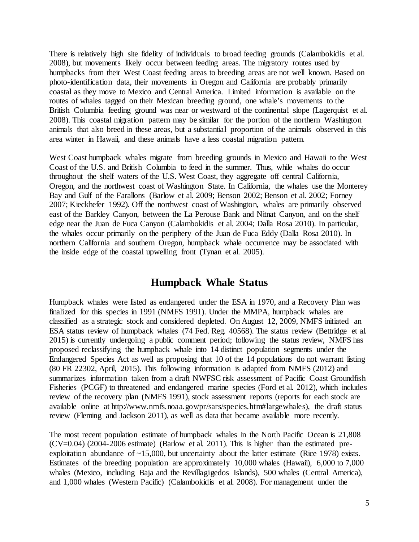There is relatively high site fidelity of individuals to broad feeding grounds (Calambokidis et al. 2008), but movements likely occur between feeding areas. The migratory routes used by humpbacks from their West Coast feeding areas to breeding areas are not well known. Based on photo-identification data, their movements in Oregon and California are probably primarily coastal as they move to Mexico and Central America. Limited information is available on the routes of whales tagged on their Mexican breeding ground, one whale's movements to the British Columbia feeding ground was near or westward of the continental slope (Lagerquist et al. 2008). This coastal migration pattern may be similar for the portion of the northern Washington animals that also breed in these areas, but a substantial proportion of the animals observed in this area winter in Hawaii, and these animals have a less coastal migration pattern.

West Coast humpback whales migrate from breeding grounds in Mexico and Hawaii to the West Coast of the U.S. and British Columbia to feed in the summer. Thus, while whales do occur throughout the shelf waters of the U.S. West Coast, they aggregate off central California, Oregon, and the northwest coast of Washington State. In California, the whales use the Monterey Bay and Gulf of the Farallons (Barlow et al. 2009; Benson 2002; Benson et al. 2002; Forney 2007; Kieckhefer 1992). Off the northwest coast of Washington, whales are primarily observed east of the Barkley Canyon, between the La Perouse Bank and Nitnat Canyon, and on the shelf edge near the Juan de Fuca Canyon (Calambokidis et al. 2004; Dalla Rosa 2010). In particular, the whales occur primarily on the periphery of the Juan de Fuca Eddy (Dalla Rosa 2010). In northern California and southern Oregon, humpback whale occurrence may be associated with the inside edge of the coastal upwelling front (Tynan et al. 2005).

#### **Humpback Whale Status**

<span id="page-4-0"></span>Humpback whales were listed as endangered under the ESA in 1970, and a Recovery Plan was finalized for this species in 1991 (NMFS 1991). Under the MMPA, humpback whales are classified as a strategic stock and considered depleted. On August 12, 2009, NMFS initiated an ESA status review of humpback whales (74 Fed. Reg. 40568). The status review (Bettridge et al. 2015) is currently undergoing a public comment period; following the status review, NMFS has proposed reclassifying the humpback whale into 14 distinct population segments under the Endangered Species Act as well as proposing that 10 of the 14 populations do not warrant listing (80 FR 22302, April, 2015). This following information is adapted from NMFS (2012) and summarizes information taken from a draft NWFSC risk assessment of Pacific Coast Groundfish Fisheries (PCGF) to threatened and endangered marine species (Ford et al. 2012), which includes review of the recovery plan (NMFS 1991), stock assessment reports (reports for each stock are available online at http://www.nmfs.noaa.gov/pr/sars/species.htm#largewhales), the draft status review (Fleming and Jackson 2011), as well as data that became available more recently.

The most recent population estimate of humpback whales in the North Pacific Ocean is 21,808 (CV=0.04) (2004-2006 estimate) (Barlow et al. 2011). This is higher than the estimated preexploitation abundance of  $\sim$ 15,000, but uncertainty about the latter estimate (Rice 1978) exists. Estimates of the breeding population are approximately 10,000 whales (Hawaii), 6,000 to 7,000 whales (Mexico, including Baja and the Revillagigedos Islands), 500 whales (Central America), and 1,000 whales (Western Pacific) (Calambokidis et al. 2008). For management under the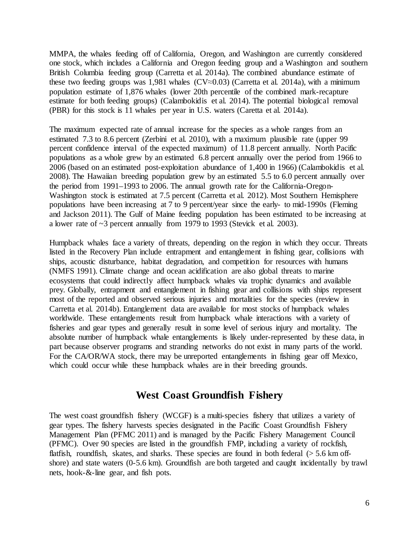MMPA, the whales feeding off of California, Oregon, and Washington are currently considered one stock, which includes a California and Oregon feeding group and a Washington and southern British Columbia feeding group (Carretta et al. 2014a). The combined abundance estimate of these two feeding groups was 1,981 whales ( $CV \approx 0.03$ ) (Carretta et al. 2014a), with a minimum population estimate of 1,876 whales (lower 20th percentile of the combined mark-recapture estimate for both feeding groups) (Calambokidis et al. 2014). The potential biological removal (PBR) for this stock is 11 whales per year in U.S. waters (Caretta et al. 2014a).

The maximum expected rate of annual increase for the species as a whole ranges from an estimated 7.3 to 8.6 percent (Zerbini et al. 2010), with a maximum plausible rate (upper 99 percent confidence interval of the expected maximum) of 11.8 percent annually. North Pacific populations as a whole grew by an estimated 6.8 percent annually over the period from 1966 to 2006 (based on an estimated post-exploitation abundance of 1,400 in 1966) (Calambokidis et al. 2008). The Hawaiian breeding population grew by an estimated 5.5 to 6.0 percent annually over the period from 1991–1993 to 2006. The annual growth rate for the California-Oregon-Washington stock is estimated at 7.5 percent (Carretta et al. 2012). Most Southern Hemisphere populations have been increasing at 7 to 9 percent/year since the early- to mid-1990s (Fleming and Jackson 2011). The Gulf of Maine feeding population has been estimated to be increasing at a lower rate of ~3 percent annually from 1979 to 1993 (Stevick et al. 2003).

Humpback whales face a variety of threats, depending on the region in which they occur. Threats listed in the Recovery Plan include entrapment and entanglement in fishing gear, collisions with ships, acoustic disturbance, habitat degradation, and competition for resources with humans (NMFS 1991). Climate change and ocean acidification are also global threats to marine ecosystems that could indirectly affect humpback whales via trophic dynamics and available prey. Globally, entrapment and entanglement in fishing gear and collisions with ships represent most of the reported and observed serious injuries and mortalities for the species (review in Carretta et al. 2014b). Entanglement data are available for most stocks of humpback whales worldwide. These entanglements result from humpback whale interactions with a variety of fisheries and gear types and generally result in some level of serious injury and mortality. The absolute number of humpback whale entanglements is likely under-represented by these data, in part because observer programs and stranding networks do not exist in many parts of the world. For the CA/OR/WA stock, there may be unreported entanglements in fishing gear off Mexico, which could occur while these humpback whales are in their breeding grounds.

#### **West Coast Groundfish Fishery**

<span id="page-5-0"></span>The west coast groundfish fishery (WCGF) is a multi-species fishery that utilizes a variety of gear types. The fishery harvests species designated in the Pacific Coast Groundfish Fishery Management Plan (PFMC 2011) and is managed by the Pacific Fishery Management Council (PFMC). Over 90 species are listed in the groundfish FMP, including a variety of rockfish, flatfish, roundfish, skates, and sharks. These species are found in both federal  $(> 5.6 \text{ km of}$ shore) and state waters (0-5.6 km). Groundfish are both targeted and caught incidentally by trawl nets, hook-&-line gear, and fish pots.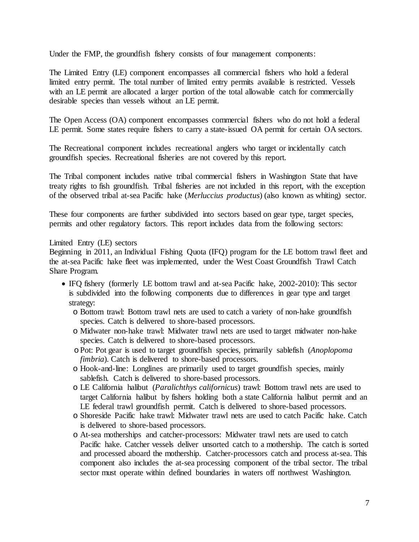Under the FMP, the groundfish fishery consists of four management components:

The Limited Entry (LE) component encompasses all commercial fishers who hold a federal limited entry permit. The total number of limited entry permits available is restricted. Vessels with an LE permit are allocated a larger portion of the total allowable catch for commercially desirable species than vessels without an LE permit.

The Open Access (OA) component encompasses commercial fishers who do not hold a federal LE permit. Some states require fishers to carry a state-issued OA permit for certain OA sectors.

The Recreational component includes recreational anglers who target or incidentally catch groundfish species. Recreational fisheries are not covered by this report.

The Tribal component includes native tribal commercial fishers in Washington State that have treaty rights to fish groundfish. Tribal fisheries are not included in this report, with the exception of the observed tribal at-sea Pacific hake (*Merluccius productus*) (also known as whiting) sector.

These four components are further subdivided into sectors based on gear type, target species, permits and other regulatory factors. This report includes data from the following sectors:

Limited Entry (LE) sectors

Beginning in 2011, an Individual Fishing Quota (IFQ) program for the LE bottom trawl fleet and the at-sea Pacific hake fleet was implemented, under the West Coast Groundfish Trawl Catch Share Program.

- IFQ fishery (formerly LE bottom trawl and at-sea Pacific hake, 2002-2010): This sector is subdivided into the following components due to differences in gear type and target strategy:
	- o Bottom trawl: Bottom trawl nets are used to catch a variety of non-hake groundfish species. Catch is delivered to shore-based processors.
	- o Midwater non-hake trawl: Midwater trawl nets are used to target midwater non-hake species. Catch is delivered to shore-based processors.
	- oPot: Pot gear is used to target groundfish species, primarily sablefish (*Anoplopoma fimbria*). Catch is delivered to shore-based processors.
	- o Hook-and-line: Longlines are primarily used to target groundfish species, mainly sablefish. Catch is delivered to shore-based processors.
	- o LE California halibut (*Paralichthys californicus*) trawl: Bottom trawl nets are used to target California halibut by fishers holding both a state California halibut permit and an LE federal trawl groundfish permit. Catch is delivered to shore-based processors.
	- o Shoreside Pacific hake trawl: Midwater trawl nets are used to catch Pacific hake. Catch is delivered to shore-based processors.
	- o At-sea motherships and catcher-processors: Midwater trawl nets are used to catch Pacific hake. Catcher vessels deliver unsorted catch to a mothership. The catch is sorted and processed aboard the mothership. Catcher-processors catch and process at-sea. This component also includes the at-sea processing component of the tribal sector. The tribal sector must operate within defined boundaries in waters off northwest Washington.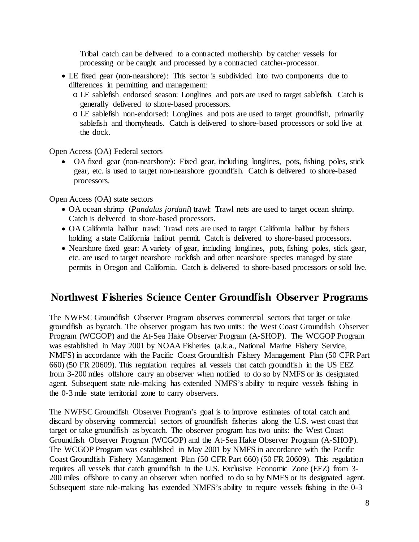Tribal catch can be delivered to a contracted mothership by catcher vessels for processing or be caught and processed by a contracted catcher-processor.

- LE fixed gear (non-nearshore): This sector is subdivided into two components due to differences in permitting and management:
	- o LE sablefish endorsed season: Longlines and pots are used to target sablefish. Catch is generally delivered to shore-based processors.
	- o LE sablefish non-endorsed: Longlines and pots are used to target groundfish, primarily sablefish and thornyheads. Catch is delivered to shore-based processors or sold live at the dock.

Open Access (OA) Federal sectors

• OA fixed gear (non-nearshore): Fixed gear, including longlines, pots, fishing poles, stick gear, etc. is used to target non-nearshore groundfish. Catch is delivered to shore-based processors.

Open Access (OA) state sectors

- OA ocean shrimp (*Pandalus jordani*) trawl: Trawl nets are used to target ocean shrimp. Catch is delivered to shore-based processors.
- OA California halibut trawl: Trawl nets are used to target California halibut by fishers holding a state California halibut permit. Catch is delivered to shore-based processors.
- Nearshore fixed gear: A variety of gear, including longlines, pots, fishing poles, stick gear, etc. are used to target nearshore rockfish and other nearshore species managed by state permits in Oregon and California. Catch is delivered to shore-based processors or sold live.

### <span id="page-7-0"></span>**Northwest Fisheries Science Center Groundfish Observer Programs**

The NWFSC Groundfish Observer Program observes commercial sectors that target or take groundfish as bycatch. The observer program has two units: the West Coast Groundfish Observer Program (WCGOP) and the At-Sea Hake Observer Program (A-SHOP). The WCGOP Program was established in May 2001 by NOAA Fisheries (a.k.a., National Marine Fishery Service, NMFS) in accordance with the Pacific Coast Groundfish Fishery Management Plan (50 CFR Part 660) (50 FR 20609). This regulation requires all vessels that catch groundfish in the US EEZ from 3-200 miles offshore carry an observer when notified to do so by NMFS or its designated agent. Subsequent state rule-making has extended NMFS's ability to require vessels fishing in the 0-3 mile state territorial zone to carry observers.

The NWFSC Groundfish Observer Program's goal is to improve estimates of total catch and discard by observing commercial sectors of groundfish fisheries along the U.S. west coast that target or take groundfish as bycatch. The observer program has two units: the West Coast Groundfish Observer Program (WCGOP) and the At-Sea Hake Observer Program (A-SHOP). The WCGOP Program was established in May 2001 by NMFS in accordance with the Pacific Coast Groundfish Fishery Management Plan (50 CFR Part 660) (50 FR 20609). This regulation requires all vessels that catch groundfish in the U.S. Exclusive Economic Zone (EEZ) from 3- 200 miles offshore to carry an observer when notified to do so by NMFS or its designated agent. Subsequent state rule-making has extended NMFS's ability to require vessels fishing in the 0-3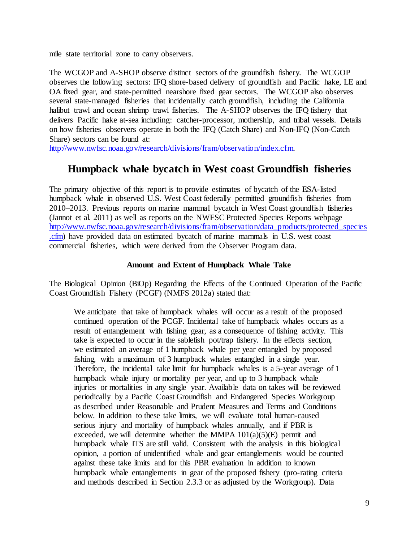mile state territorial zone to carry observers.

The WCGOP and A-SHOP observe distinct sectors of the groundfish fishery. The WCGOP observes the following sectors: IFQ shore-based delivery of groundfish and Pacific hake, LE and OA fixed gear, and state-permitted nearshore fixed gear sectors. The WCGOP also observes several state-managed fisheries that incidentally catch groundfish, including the California halibut trawl and ocean shrimp trawl fisheries. The A-SHOP observes the IFQ fishery that delivers Pacific hake at-sea including: catcher-processor, mothership, and tribal vessels. Details on how fisheries observers operate in both the IFQ (Catch Share) and Non-IFQ (Non-Catch Share) sectors can be found at:

<span id="page-8-0"></span>[http://www.nwfsc.noaa.gov/research/divisions/fram/observation/index.cfm.](http://www.nwfsc.noaa.gov/research/divisions/fram/observation/index.cfm)

### **Humpback whale bycatch in West coast Groundfish fisheries**

The primary objective of this report is to provide estimates of bycatch of the ESA-listed humpback whale in observed U.S. West Coast federally permitted groundfish fisheries from 2010–2013. Previous reports on marine mammal bycatch in West Coast groundfish fisheries (Jannot et al. 2011) as well as reports on the NWFSC Protected Species Reports webpage [http://www.nwfsc.noaa.gov/research/divisions/fram/observation/data\\_products/protected\\_species](http://www.nwfsc.noaa.gov/research/divisions/fram/observation/data_products/protected_species.cfm) [.cfm\)](http://www.nwfsc.noaa.gov/research/divisions/fram/observation/data_products/protected_species.cfm) have provided data on estimated bycatch of marine mammals in U.S. west coast commercial fisheries, which were derived from the Observer Program data.

#### **Amount and Extent of Humpback Whale Take**

<span id="page-8-1"></span>The Biological Opinion (BiOp) Regarding the Effects of the Continued Operation of the Pacific Coast Groundfish Fishery (PCGF) (NMFS 2012a) stated that:

We anticipate that take of humpback whales will occur as a result of the proposed continued operation of the PCGF. Incidental take of humpback whales occurs as a result of entanglement with fishing gear, as a consequence of fishing activity. This take is expected to occur in the sablefish pot/trap fishery. In the effects section, we estimated an average of 1 humpback whale per year entangled by proposed fishing, with a maximum of 3 humpback whales entangled in a single year. Therefore, the incidental take limit for humpback whales is a 5-year average of 1 humpback whale injury or mortality per year, and up to 3 humpback whale injuries or mortalities in any single year. Available data on takes will be reviewed periodically by a Pacific Coast Groundfish and Endangered Species Workgroup as described under Reasonable and Prudent Measures and Terms and Conditions below. In addition to these take limits, we will evaluate total human-caused serious injury and mortality of humpback whales annually, and if PBR is exceeded, we will determine whether the MMPA  $101(a)(5)(E)$  permit and humpback whale ITS are still valid. Consistent with the analysis in this biological opinion, a portion of unidentified whale and gear entanglements would be counted against these take limits and for this PBR evaluation in addition to known humpback whale entanglements in gear of the proposed fishery (pro-rating criteria and methods described in Section 2.3.3 or as adjusted by the Workgroup). Data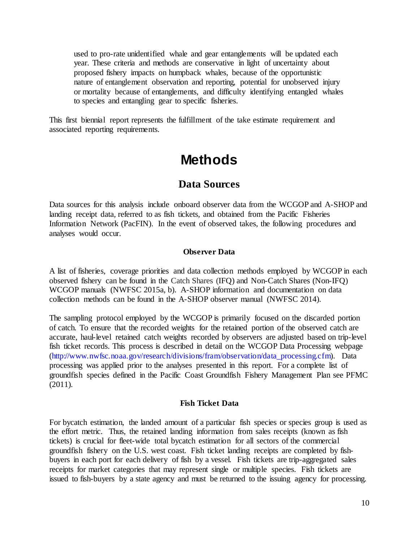used to pro-rate unidentified whale and gear entanglements will be updated each year. These criteria and methods are conservative in light of uncertainty about proposed fishery impacts on humpback whales, because of the opportunistic nature of entanglement observation and reporting, potential for unobserved injury or mortality because of entanglements, and difficulty identifying entangled whales to species and entangling gear to specific fisheries.

<span id="page-9-0"></span>This first biennial report represents the fulfillment of the take estimate requirement and associated reporting requirements.

## **Methods**

### **Data Sources**

<span id="page-9-1"></span>Data sources for this analysis include onboard observer data from the WCGOP and A-SHOP and landing receipt data, referred to as fish tickets, and obtained from the Pacific Fisheries Information Network (PacFIN). In the event of observed takes, the following procedures and analyses would occur.

#### **Observer Data**

<span id="page-9-2"></span>A list of fisheries, coverage priorities and data collection methods employed by WCGOP in each observed fishery can be found in the Catch Shares (IFQ) and Non-Catch Shares (Non-IFQ) WCGOP manuals (NWFSC 2015a, b). A-SHOP information and documentation on data collection methods can be found in the A-SHOP observer manual (NWFSC 2014).

The sampling protocol employed by the WCGOP is primarily focused on the discarded portion of catch. To ensure that the recorded weights for the retained portion of the observed catch are accurate, haul-level retained catch weights recorded by observers are adjusted based on trip-level fish ticket records. This process is described in detail on the WCGOP Data Processing webpage [\(http://www.nwfsc.noaa.gov/research/divisions/fram/observation/data\\_processing.cfm\).](http://www.nwfsc.noaa.gov/research/divisions/fram/observation/data_processing.cfm) Data processing was applied prior to the analyses presented in this report. For a complete list of groundfish species defined in the Pacific Coast Groundfish Fishery Management Plan see PFMC (2011).

#### **Fish Ticket Data**

<span id="page-9-3"></span>For bycatch estimation, the landed amount of a particular fish species or species group is used as the effort metric. Thus, the retained landing information from sales receipts (known as fish tickets) is crucial for fleet-wide total bycatch estimation for all sectors of the commercial groundfish fishery on the U.S. west coast. Fish ticket landing receipts are completed by fishbuyers in each port for each delivery of fish by a vessel. Fish tickets are trip-aggregated sales receipts for market categories that may represent single or multiple species. Fish tickets are issued to fish-buyers by a state agency and must be returned to the issuing agency for processing.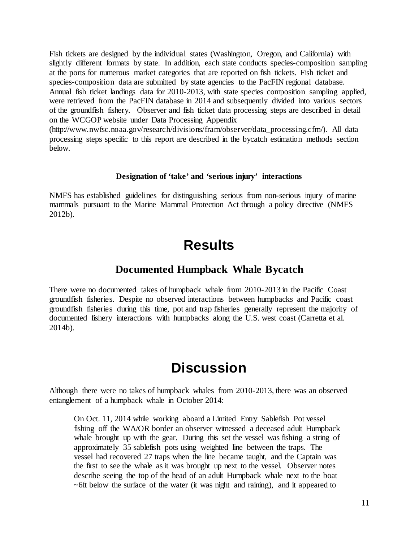Fish tickets are designed by the individual states (Washington, Oregon, and California) with slightly different formats by state. In addition, each state conducts species-composition sampling at the ports for numerous market categories that are reported on fish tickets. Fish ticket and species-composition data are submitted by state agencies to the PacFIN regional database. Annual fish ticket landings data for 2010-2013, with state species composition sampling applied, were retrieved from the PacFIN database in 2014 and subsequently divided into various sectors of the groundfish fishery. Observer and fish ticket data processing steps are described in detail on the WCGOP website under Data Processing Appendix

(http://www.nwfsc.noaa.gov/research/divisions/fram/observer/data\_processing.cfm/). All data processing steps specific to this report are described in the bycatch estimation methods section below.

#### **Designation of 'take' and 'serious injury' interactions**

<span id="page-10-1"></span><span id="page-10-0"></span>NMFS has established guidelines for distinguishing serious from non-serious injury of marine mammals pursuant to the Marine Mammal Protection Act through a policy directive (NMFS 2012b).

## **Results**

### **Documented Humpback Whale Bycatch**

<span id="page-10-2"></span>There were no documented takes of humpback whale from 2010-2013 in the Pacific Coast groundfish fisheries. Despite no observed interactions between humpbacks and Pacific coast groundfish fisheries during this time, pot and trap fisheries generally represent the majority of documented fishery interactions with humpbacks along the U.S. west coast (Carretta et al. 2014b).

## **Discussion**

<span id="page-10-3"></span>Although there were no takes of humpback whales from 2010-2013, there was an observed entanglement of a humpback whale in October 2014:

On Oct. 11, 2014 while working aboard a Limited Entry Sablefish Pot vessel fishing off the WA/OR border an observer witnessed a deceased adult Humpback whale brought up with the gear. During this set the vessel was fishing a string of approximately 35 sablefish pots using weighted line between the traps. The vessel had recovered 27 traps when the line became taught, and the Captain was the first to see the whale as it was brought up next to the vessel. Observer notes describe seeing the top of the head of an adult Humpback whale next to the boat  $\sim$  6ft below the surface of the water (it was night and raining), and it appeared to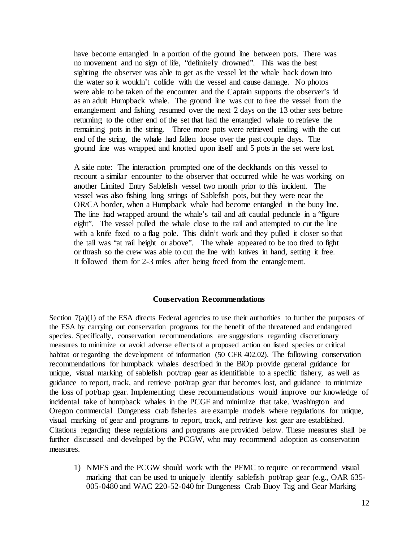have become entangled in a portion of the ground line between pots. There was no movement and no sign of life, "definitely drowned". This was the best sighting the observer was able to get as the vessel let the whale back down into the water so it wouldn't collide with the vessel and cause damage. No photos were able to be taken of the encounter and the Captain supports the observer's id as an adult Humpback whale. The ground line was cut to free the vessel from the entanglement and fishing resumed over the next 2 days on the 13 other sets before returning to the other end of the set that had the entangled whale to retrieve the remaining pots in the string. Three more pots were retrieved ending with the cut end of the string, the whale had fallen loose over the past couple days. The ground line was wrapped and knotted upon itself and 5 pots in the set were lost.

A side note: The interaction prompted one of the deckhands on this vessel to recount a similar encounter to the observer that occurred while he was working on another Limited Entry Sablefish vessel two month prior to this incident. The vessel was also fishing long strings of Sablefish pots, but they were near the OR/CA border, when a Humpback whale had become entangled in the buoy line. The line had wrapped around the whale's tail and aft caudal peduncle in a "figure eight". The vessel pulled the whale close to the rail and attempted to cut the line with a knife fixed to a flag pole. This didn't work and they pulled it closer so that the tail was "at rail height or above". The whale appeared to be too tired to fight or thrash so the crew was able to cut the line with knives in hand, setting it free. It followed them for 2-3 miles after being freed from the entanglement.

#### **Conservation Recommendations**

<span id="page-11-0"></span>Section  $7(a)(1)$  of the ESA directs Federal agencies to use their authorities to further the purposes of the ESA by carrying out conservation programs for the benefit of the threatened and endangered species. Specifically, conservation recommendations are suggestions regarding discretionary measures to minimize or avoid adverse effects of a proposed action on listed species or critical habitat or regarding the development of information (50 CFR 402.02). The following conservation recommendations for humpback whales described in the BiOp provide general guidance for unique, visual marking of sablefish pot/trap gear as identifiable to a specific fishery, as well as guidance to report, track, and retrieve pot/trap gear that becomes lost, and guidance to minimize the loss of pot/trap gear. Implementing these recommendations would improve our knowledge of incidental take of humpback whales in the PCGF and minimize that take. Washington and Oregon commercial Dungeness crab fisheries are example models where regulations for unique, visual marking of gear and programs to report, track, and retrieve lost gear are established. Citations regarding these regulations and programs are provided below. These measures shall be further discussed and developed by the PCGW, who may recommend adoption as conservation measures.

1) NMFS and the PCGW should work with the PFMC to require or recommend visual marking that can be used to uniquely identify sablefish pot/trap gear (e.g., OAR 635- 005-0480 and WAC 220-52-040 for Dungeness Crab Buoy Tag and Gear Marking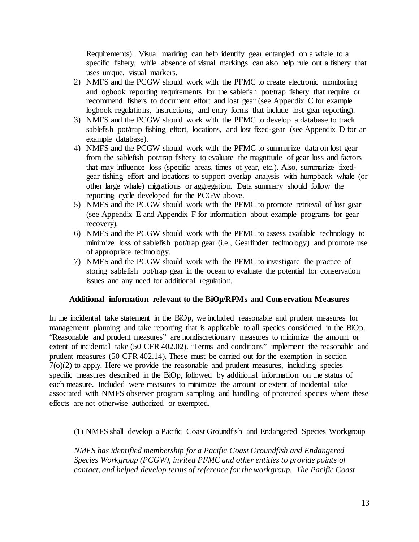Requirements). Visual marking can help identify gear entangled on a whale to a specific fishery, while absence of visual markings can also help rule out a fishery that uses unique, visual markers.

- 2) NMFS and the PCGW should work with the PFMC to create electronic monitoring and logbook reporting requirements for the sablefish pot/trap fishery that require or recommend fishers to document effort and lost gear (see Appendix C for example logbook regulations, instructions, and entry forms that include lost gear reporting).
- 3) NMFS and the PCGW should work with the PFMC to develop a database to track sablefish pot/trap fishing effort, locations, and lost fixed-gear (see Appendix D for an example database).
- 4) NMFS and the PCGW should work with the PFMC to summarize data on lost gear from the sablefish pot/trap fishery to evaluate the magnitude of gear loss and factors that may influence loss (specific areas, times of year, etc.). Also, summarize fixedgear fishing effort and locations to support overlap analysis with humpback whale (or other large whale) migrations or aggregation. Data summary should follow the reporting cycle developed for the PCGW above.
- 5) NMFS and the PCGW should work with the PFMC to promote retrieval of lost gear (see Appendix E and Appendix F for information about example programs for gear recovery).
- 6) NMFS and the PCGW should work with the PFMC to assess available technology to minimize loss of sablefish pot/trap gear (i.e., Gearfinder technology) and promote use of appropriate technology.
- 7) NMFS and the PCGW should work with the PFMC to investigate the practice of storing sablefish pot/trap gear in the ocean to evaluate the potential for conservation issues and any need for additional regulation.

#### **Additional information relevant to the BiOp/RPMs and Conservation Measures**

<span id="page-12-0"></span>In the incidental take statement in the BiOp, we included reasonable and prudent measures for management planning and take reporting that is applicable to all species considered in the BiOp. "Reasonable and prudent measures" are nondiscretionary measures to minimize the amount or extent of incidental take (50 CFR 402.02). "Terms and conditions" implement the reasonable and prudent measures (50 CFR 402.14). These must be carried out for the exemption in section 7(o)(2) to apply. Here we provide the reasonable and prudent measures, including species specific measures described in the BiOp, followed by additional information on the status of each measure. Included were measures to minimize the amount or extent of incidental take associated with NMFS observer program sampling and handling of protected species where these effects are not otherwise authorized or exempted.

(1) NMFS shall develop a Pacific Coast Groundfish and Endangered Species Workgroup

*NMFS has identified membership for a Pacific Coast Groundfish and Endangered Species Workgroup (PCGW), invited PFMC and other entities to provide points of contact, and helped develop terms of reference for the workgroup. The Pacific Coast*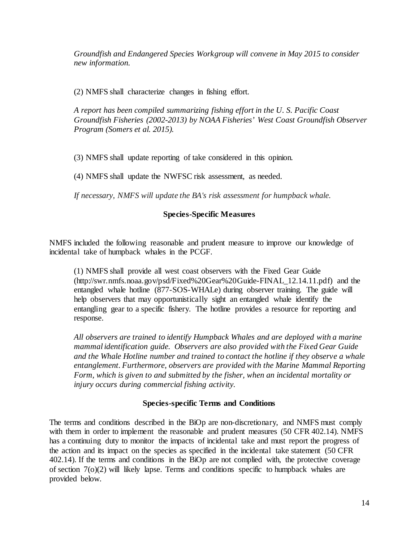*Groundfish and Endangered Species Workgroup will convene in May 2015 to consider new information.*

(2) NMFS shall characterize changes in fishing effort.

*A report has been compiled summarizing fishing effort in the U. S. Pacific Coast Groundfish Fisheries (2002-2013) by NOAA Fisheries' West Coast Groundfish Observer Program (Somers et al. 2015).*

(3) NMFS shall update reporting of take considered in this opinion.

(4) NMFS shall update the NWFSC risk assessment, as needed.

*If necessary, NMFS will update the BA's risk assessment for humpback whale.*

#### **Species-Specific Measures**

<span id="page-13-0"></span>NMFS included the following reasonable and prudent measure to improve our knowledge of incidental take of humpback whales in the PCGF.

(1) NMFS shall provide all west coast observers with the Fixed Gear Guide (http://swr.nmfs.noaa.gov/psd/Fixed%20Gear%20Guide-FINAL\_12.14.11.pdf) and the entangled whale hotline (877-SOS-WHALe) during observer training. The guide will help observers that may opportunistically sight an entangled whale identify the entangling gear to a specific fishery. The hotline provides a resource for reporting and response.

*All observers are trained to identify Humpback Whales and are deployed with a marine mammal identification guide. Observers are also provided with the Fixed Gear Guide and the Whale Hotline number and trained to contact the hotline if they observe a whale entanglement. Furthermore, observers are provided with the Marine Mammal Reporting Form, which is given to and submitted by the fisher, when an incidental mortality or injury occurs during commercial fishing activity.*

#### **Species-specific Terms and Conditions**

<span id="page-13-1"></span>The terms and conditions described in the BiOp are non-discretionary, and NMFS must comply with them in order to implement the reasonable and prudent measures (50 CFR 402.14). NMFS has a continuing duty to monitor the impacts of incidental take and must report the progress of the action and its impact on the species as specified in the incidental take statement (50 CFR 402.14). If the terms and conditions in the BiOp are not complied with, the protective coverage of section 7(o)(2) will likely lapse. Terms and conditions specific to humpback whales are provided below.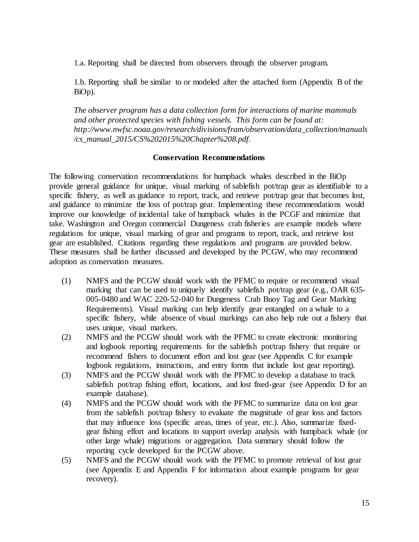1.a. Reporting shall be directed from observers through the observer program.

1.b. Reporting shall be similar to or modeled after the attached form (Appendix B of the BiOp).

*The observer program has a data collection form for interactions of marine mammals and other protected species with fishing vessels. This form can be found at: http://www.nwfsc.noaa.gov/research/divisions/fram/observation/data\_collection/manuals /cs\_manual\_2015/CS%202015%20Chapter%208.pdf.*

#### **Conservation Recommendations**

<span id="page-14-0"></span>The following conservation recommendations for humpback whales described in the BiOp provide general guidance for unique, visual marking of sablefish pot/trap gear as identifiable to a specific fishery, as well as guidance to report, track, and retrieve pot/trap gear that becomes lost, and guidance to minimize the loss of pot/trap gear. Implementing these recommendations would improve our knowledge of incidental take of humpback whales in the PCGF and minimize that take. Washington and Oregon commercial Dungeness crab fisheries are example models where regulations for unique, visual marking of gear and programs to report, track, and retrieve lost gear are established. Citations regarding these regulations and programs are provided below. These measures shall be further discussed and developed by the PCGW, who may recommend adoption as conservation measures.

- (1) NMFS and the PCGW should work with the PFMC to require or recommend visual marking that can be used to uniquely identify sablefish pot/trap gear (e.g., OAR 635- 005-0480 and WAC 220-52-040 for Dungeness Crab Buoy Tag and Gear Marking Requirements). Visual marking can help identify gear entangled on a whale to a specific fishery, while absence of visual markings can also help rule out a fishery that uses unique, visual markers.
- (2) NMFS and the PCGW should work with the PFMC to create electronic monitoring and logbook reporting requirements for the sablefish pot/trap fishery that require or recommend fishers to document effort and lost gear (see Appendix C for example logbook regulations, instructions, and entry forms that include lost gear reporting).
- (3) NMFS and the PCGW should work with the PFMC to develop a database to track sablefish pot/trap fishing effort, locations, and lost fixed-gear (see Appendix D for an example database).
- (4) NMFS and the PCGW should work with the PFMC to summarize data on lost gear from the sablefish pot/trap fishery to evaluate the magnitude of gear loss and factors that may influence loss (specific areas, times of year, etc.). Also, summarize fixedgear fishing effort and locations to support overlap analysis with humpback whale (or other large whale) migrations or aggregation. Data summary should follow the reporting cycle developed for the PCGW above.
- (5) NMFS and the PCGW should work with the PFMC to promote retrieval of lost gear (see Appendix E and Appendix F for information about example programs for gear recovery).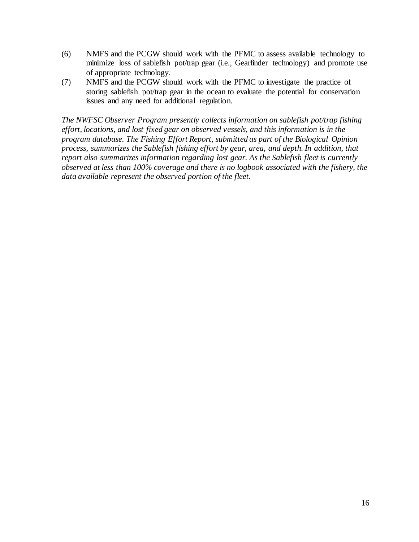- (6) NMFS and the PCGW should work with the PFMC to assess available technology to minimize loss of sablefish pot/trap gear (i.e., Gearfinder technology) and promote use of appropriate technology.
- (7) NMFS and the PCGW should work with the PFMC to investigate the practice of storing sablefish pot/trap gear in the ocean to evaluate the potential for conservation issues and any need for additional regulation.

*The NWFSC Observer Program presently collects information on sablefish pot/trap fishing effort, locations, and lost fixed gear on observed vessels, and this information is in the program database. The Fishing Effort Report, submitted as part of the Biological Opinion process, summarizes the Sablefish fishing effort by gear, area, and depth. In addition, that report also summarizes information regarding lost gear. As the Sablefish fleet is currently observed at less than 100% coverage and there is no logbook associated with the fishery, the data available represent the observed portion of the fleet.*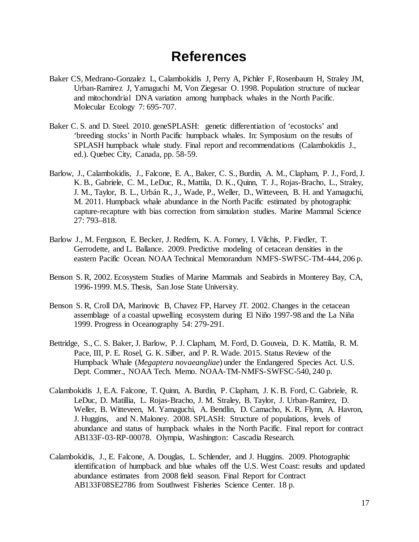## **References**

- <span id="page-16-0"></span>Baker CS, Medrano-Gonzalez L, Calambokidis J, Perry A, Pichler F, Rosenbaum H, Straley JM, Urban-Ramirez J, Yamaguchi M, Von Ziegesar O. 1998. Population structure of nuclear and mitochondrial DNA variation among humpback whales in the North Pacific. Molecular Ecology 7: 695-707.
- Baker C. S. and D. Steel. 2010. geneSPLASH: genetic differentiation of 'ecostocks' and 'breeding stocks' in North Pacific humpback whales. In: Symposium on the results of SPLASH humpback whale study. Final report and recommendations (Calambokidis J., ed.). Quebec City, Canada, pp. 58-59.
- Barlow, J., Calambokidis, J., Falcone, E. A., Baker, C. S., Burdin, A. M., Clapham, P. J., Ford, J. K. B., Gabriele, C. M., LeDuc, R., Mattila, D. K., Quinn, T. J., Rojas-Bracho, L., Straley, J. M., Taylor, B. L., Urbán R., J., Wade, P., Weller, D., Witteveen, B. H. and Yamaguchi, M. 2011. Humpback whale abundance in the North Pacific estimated by photographic capture-recapture with bias correction from simulation studies. Marine Mammal Science 27: 793–818.
- Barlow J., M. Ferguson, E. Becker, J. Redfern, K. A. Forney, I. Vilchis, P. Fiedler, T. Gerrodette, and L. Ballance. 2009. Predictive modeling of cetacean densities in the eastern Pacific Ocean. NOAA Technical Memorandum NMFS-SWFSC-TM-444, 206 p.
- Benson S. R, 2002. Ecosystem Studies of Marine Mammals and Seabirds in Monterey Bay, CA, 1996-1999. M.S. Thesis, San Jose State University.
- Benson S. R, Croll DA, Marinovic B, Chavez FP, Harvey JT. 2002. Changes in the cetacean assemblage of a coastal upwelling ecosystem during El Niño 1997-98 and the La Niña 1999. Progress in Oceanography 54: 279-291.
- Bettridge, S., C. S. Baker, J. Barlow, P. J. Clapham, M. Ford, D. Gouveia, D. K. Mattila, R. M. Pace, III, P. E. Rosel, G. K. Silber, and P. R. Wade. 2015. Status Review of the Humpback Whale (*Megaptera novaeangliae*) under the Endangered Species Act. U.S. Dept. Commer., NOAA Tech. Memo. NOAA-TM-NMFS-SWFSC-540, 240 p.
- Calambokidis J, E.A. Falcone, T. Quinn, A. Burdin, P. Clapham, J. K. B. Ford, C. Gabriele, R. LeDuc, D. Matillia, L. Rojas-Bracho, J. M. Straley, B. Taylor, J. Urban-Ramirez, D. Weller, B. Witteveen, M. Yamaguchi, A. Bendlin, D. Camacho, K. R. Flynn, A. Havron, J. Huggins, and N. Maloney. 2008. SPLASH: Structure of populations, levels of abundance and status of humpback whales in the North Pacific. Final report for contract AB133F-03-RP-00078. Olympia, Washington: Cascadia Research.
- Calambokidis, J., E. Falcone, A. Douglas, L. Schlender, and J. Huggins. 2009. Photographic identification of humpback and blue whales off the U.S. West Coast: results and updated abundance estimates from 2008 field season. Final Report for Contract AB133F08SE2786 from Southwest Fisheries Science Center. 18 p.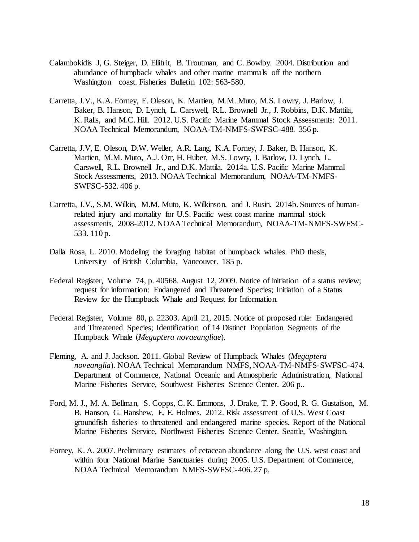- Calambokidis J, G. Steiger, D. Ellifrit, B. Troutman, and C. Bowlby. 2004. Distribution and abundance of humpback whales and other marine mammals off the northern Washington coast. Fisheries Bulletin 102: 563-580.
- Carretta, J.V., K.A. Forney, E. Oleson, K. Martien, M.M. Muto, M.S. Lowry, J. Barlow, J. Baker, B. Hanson, D. Lynch, L. Carswell, R.L. Brownell Jr., J. Robbins, D.K. Mattila, K. Ralls, and M.C. Hill. 2012. U.S. Pacific Marine Mammal Stock Assessments: 2011. NOAA Technical Memorandum, NOAA-TM-NMFS-SWFSC-488. 356 p.
- Carretta, J.V, E. Oleson, D.W. Weller, A.R. Lang, K.A. Forney, J. Baker, B. Hanson, K. Martien, M.M. Muto, A.J. Orr, H. Huber, M.S. Lowry, J. Barlow, D. Lynch, L. Carswell, R.L. Brownell Jr., and D.K. Mattila. 2014a. U.S. Pacific Marine Mammal Stock Assessments, 2013. NOAA Technical Memorandum, NOAA-TM-NMFS-SWFSC-532. 406 p.
- Carretta, J.V., S.M. Wilkin, M.M. Muto, K. Wilkinson, and J. Rusin. 2014b. Sources of humanrelated injury and mortality for U.S. Pacific west coast marine mammal stock assessments, 2008-2012. NOAA Technical Memorandum, NOAA-TM-NMFS-SWFSC-533. 110 p.
- Dalla Rosa, L. 2010. Modeling the foraging habitat of humpback whales. PhD thesis, University of British Columbia, Vancouver. 185 p.
- Federal Register, Volume 74, p. 40568. August 12, 2009. Notice of initiation of a status review; request for information: Endangered and Threatened Species; Initiation of a Status Review for the Humpback Whale and Request for Information.
- Federal Register, Volume 80, p. 22303. April 21, 2015. Notice of proposed rule: Endangered and Threatened Species; Identification of 14 Distinct Population Segments of the Humpback Whale (*Megaptera novaeangliae*).
- Fleming, A. and J. Jackson. 2011. Global Review of Humpback Whales (*Megaptera noveanglia*). NOAA Technical Memorandum NMFS, NOAA-TM-NMFS-SWFSC-474. Department of Commerce, National Oceanic and Atmospheric Administration, National Marine Fisheries Service, Southwest Fisheries Science Center. 206 p..
- Ford, M. J., M. A. Bellman, S. Copps, C. K. Emmons, J. Drake, T. P. Good, R. G. Gustafson, M. B. Hanson, G. Hanshew, E. E. Holmes. 2012. Risk assessment of U.S. West Coast groundfish fisheries to threatened and endangered marine species. Report of the National Marine Fisheries Service, Northwest Fisheries Science Center. Seattle, Washington.
- Forney, K. A. 2007. Preliminary estimates of cetacean abundance along the U.S. west coast and within four National Marine Sanctuaries during 2005. U.S. Department of Commerce, NOAA Technical Memorandum NMFS-SWFSC-406. 27 p.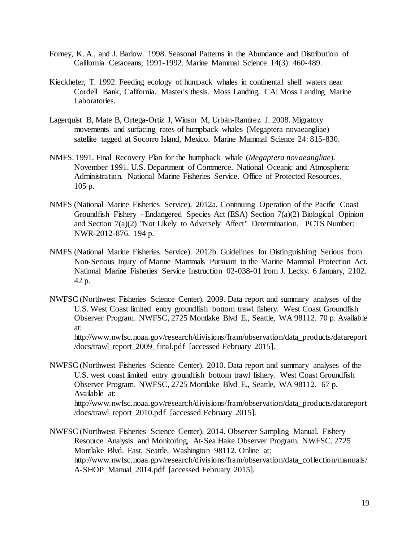- Forney, K. A., and J. Barlow. 1998. Seasonal Patterns in the Abundance and Distribution of California Cetaceans, 1991-1992. Marine Mammal Science 14(3): 460-489.
- Kieckhefer, T. 1992. Feeding ecology of humpack whales in continental shelf waters near Cordell Bank, California. Master's thesis. Moss Landing, CA: Moss Landing Marine Laboratories.
- Lagerquist B, Mate B, Ortega-Ortiz J, Winsor M, Urbán-Ramirez J. 2008. Migratory movements and surfacing rates of humpback whales (Megaptera novaeangliae) satellite tagged at Socorro Island, Mexico. Marine Mammal Science 24: 815-830.
- NMFS. 1991. Final Recovery Plan for the humpback whale (*Megaptera novaeangliae*). November 1991. U.S. Department of Commerce. National Oceanic and Atmospheric Administration. National Marine Fisheries Service. Office of Protected Resources. 105 p.
- NMFS (National Marine Fisheries Service). 2012a. Continuing Operation of the Pacific Coast Groundfish Fishery - Endangered Species Act (ESA) Section 7(a)(2) Biological Opinion and Section 7(a)(2) "Not Likely to Adversely Affect" Determination. PCTS Number: NWR-2012-876. 194 p.
- NMFS (National Marine Fisheries Service). 2012b. Guidelines for Distinguishing Serious from Non-Serious Injury of Marine Mammals Pursuant to the Marine Mammal Protection Act. National Marine Fisheries Service Instruction 02-038-01 from J. Lecky. 6 January, 2102. 42 p.
- NWFSC (Northwest Fisheries Science Center). 2009. Data report and summary analyses of the U.S. West Coast limited entry groundfish bottom trawl fishery. West Coast Groundfish Observer Program. NWFSC, 2725 Montlake Blvd E., Seattle, WA 98112. 70 p. Available at:

http://www.nwfsc.noaa.gov/research/divisions/fram/observation/data\_products/datareport /docs/trawl\_report\_2009\_final.pdf [accessed February 2015].

- NWFSC (Northwest Fisheries Science Center). 2010. Data report and summary analyses of the U.S. west coast limited entry groundfish bottom trawl fishery. West Coast Groundfish Observer Program. NWFSC, 2725 Montlake Blvd E., Seattle, WA 98112. 67 p. Available at: http://www.nwfsc.noaa.gov/research/divisions/fram/observation/data\_products/datareport /docs/trawl\_report\_2010.pdf [accessed February 2015].
- NWFSC (Northwest Fisheries Science Center). 2014. Observer Sampling Manual. Fishery Resource Analysis and Monitoring, At-Sea Hake Observer Program. NWFSC, 2725 Montlake Blvd. East, Seattle, Washington 98112. Online at: http://www.nwfsc.noaa.gov/research/divisions/fram/observation/data\_collection/manuals/ A-SHOP\_Manual\_2014.pdf [accessed February 2015].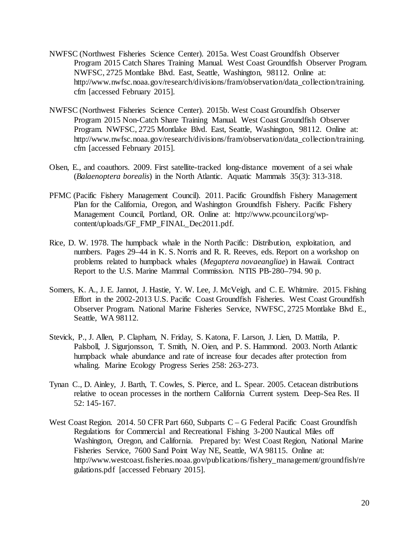- NWFSC (Northwest Fisheries Science Center). 2015a. West Coast Groundfish Observer Program 2015 Catch Shares Training Manual. West Coast Groundfish Observer Program. NWFSC, 2725 Montlake Blvd. East, Seattle, Washington, 98112. Online at: http://www.nwfsc.noaa.gov/research/divisions/fram/observation/data\_collection/training. cfm [accessed February 2015].
- NWFSC (Northwest Fisheries Science Center). 2015b. West Coast Groundfish Observer Program 2015 Non-Catch Share Training Manual. West Coast Groundfish Observer Program. NWFSC, 2725 Montlake Blvd. East, Seattle, Washington, 98112. Online at: http://www.nwfsc.noaa.gov/research/divisions/fram/observation/data\_collection/training. cfm [accessed February 2015].
- Olsen, E., and coauthors. 2009. First satellite-tracked long-distance movement of a sei whale (*Balaenoptera borealis*) in the North Atlantic. Aquatic Mammals 35(3): 313-318.
- PFMC (Pacific Fishery Management Council). 2011. Pacific Groundfish Fishery Management Plan for the California, Oregon, and Washington Groundfish Fishery. Pacific Fishery Management Council, Portland, OR. Online at: http://www.pcouncil.org/wpcontent/uploads/GF\_FMP\_FINAL\_Dec2011.pdf.
- Rice, D. W. 1978. The humpback whale in the North Pacific: Distribution, exploitation, and numbers. Pages 29–44 in K. S. Norris and R. R. Reeves, eds. Report on a workshop on problems related to humpback whales (*Megaptera novaeangliae*) in Hawaii. Contract Report to the U.S. Marine Mammal Commission. NTIS PB-280–794. 90 p.
- Somers, K. A., J. E. Jannot, J. Hastie, Y. W. Lee, J. McVeigh, and C. E. Whitmire. 2015. Fishing Effort in the 2002-2013 U.S. Pacific Coast Groundfish Fisheries. West Coast Groundfish Observer Program. National Marine Fisheries Service, NWFSC, 2725 Montlake Blvd E., Seattle, WA 98112.
- Stevick, P., J. Allen, P. Clapham, N. Friday, S. Katona, F. Larson, J. Lien, D. Mattila, P. Palsboll, J. Sigurjonsson, T. Smith, N. Oien, and P. S. Hammond. 2003. North Atlantic humpback whale abundance and rate of increase four decades after protection from whaling. Marine Ecology Progress Series 258: 263-273.
- Tynan C., D. Ainley, J. Barth, T. Cowles, S. Pierce, and L. Spear. 2005. Cetacean distributions relative to ocean processes in the northern California Current system. Deep-Sea Res. II 52: 145-167.
- West Coast Region. 2014. 50 CFR Part 660, Subparts C G Federal Pacific Coast Groundfish Regulations for Commercial and Recreational Fishing 3-200 Nautical Miles off Washington, Oregon, and California. Prepared by: West Coast Region, National Marine Fisheries Service, 7600 Sand Point Way NE, Seattle, WA 98115. Online at: http://www.westcoast.fisheries.noaa.gov/publications/fishery\_management/groundfish/re gulations.pdf [accessed February 2015].